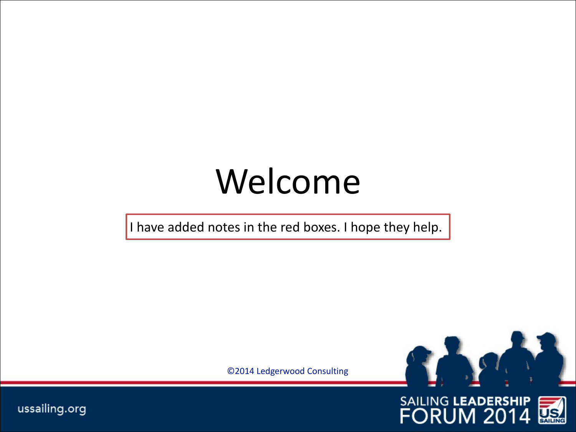# Welcome

I have added notes in the red boxes. I hope they help.

©2014 Ledgerwood Consulting



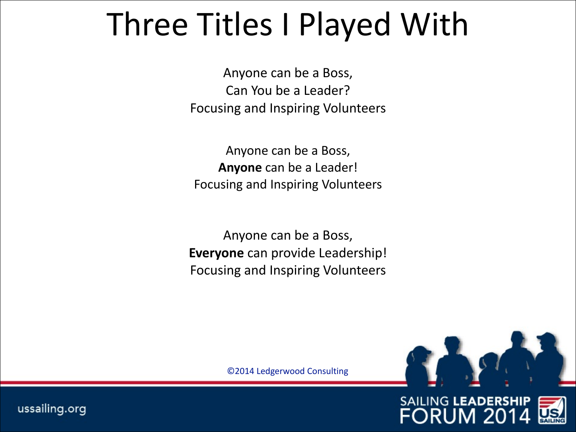### Three Titles I Played With

Anyone can be a Boss, Can You be a Leader? Focusing and Inspiring Volunteers

Anyone can be a Boss, **Anyone** can be a Leader! Focusing and Inspiring Volunteers

Anyone can be a Boss, **Everyone** can provide Leadership! Focusing and Inspiring Volunteers

©2014 Ledgerwood Consulting



**SAILING LEADERSHIP FORUM 20** 

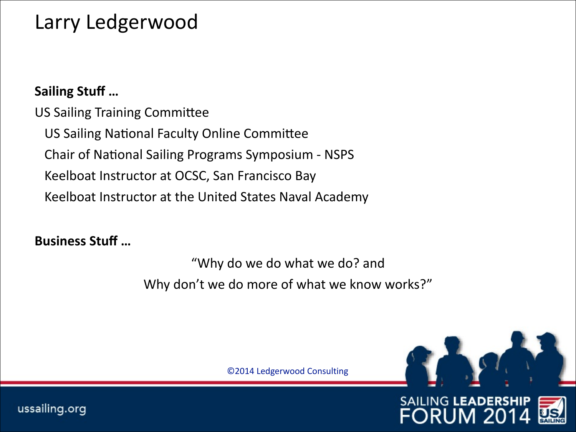#### Larry Ledgerwood

#### **Sailing Stuff ...**

US Sailing Training Committee US Sailing National Faculty Online Committee Chair of National Sailing Programs Symposium - NSPS Keelboat Instructor at OCSC, San Francisco Bay Keelboat Instructor at the United States Naval Academy

#### **Business Stuff ...**

"Why do we do what we do? and Why don't we do more of what we know works?"

©2014 Ledgerwood Consulting



**SAILING LEADERSHIP** 

)RI

3

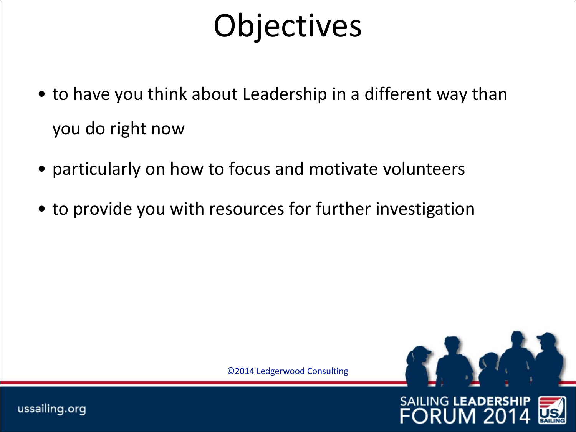### **Objectives**

- to have you think about Leadership in a different way than you do right now
- particularly on how to focus and motivate volunteers
- to provide you with resources for further investigation

©2014 Ledgerwood Consulting



**ORUM 20** 

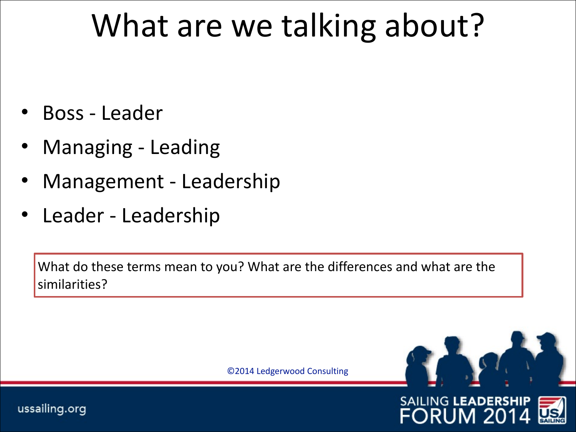### What are we talking about?

- Boss Leader
- Managing Leading
- Management Leadership
- Leader Leadership

What do these terms mean to you? What are the differences and what are the similarities?

©2014 Ledgerwood Consulting



**SAILING LEADERSHIP** 

ORUM 20

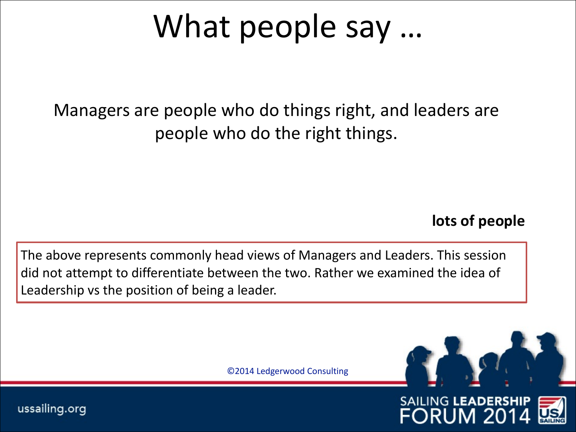### What people say ...

Managers are people who do things right, and leaders are people who do the right things.

#### lots of people

The above represents commonly head views of Managers and Leaders. This session did not attempt to differentiate between the two. Rather we examined the idea of Leadership vs the position of being a leader.

©2014 Ledgerwood Consulting



**SAILING LEADERSHIP** 

JM 20

ORl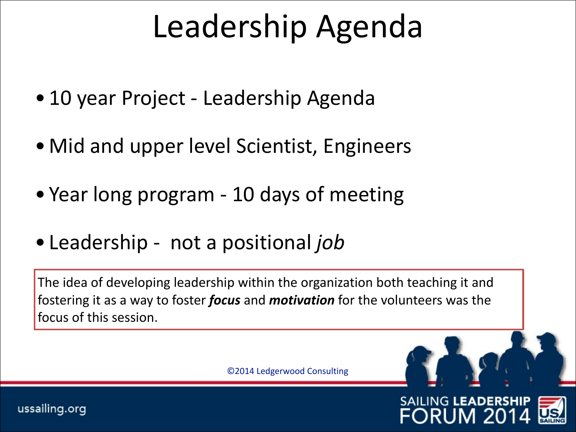### Leadership Agenda

- 10 year Project Leadership Agenda
- Mid and upper level Scientist, Engineers
- Year long program 10 days of meeting
- Leadership not a positional *job*

The idea of developing leadership within the organization both teaching it and fostering it as a way to foster *focus* and *motivation* for the volunteers was the focus of this session.

©2014 Ledgerwood Consulting

**SAILING LEADERSHIP** 

ORUM 20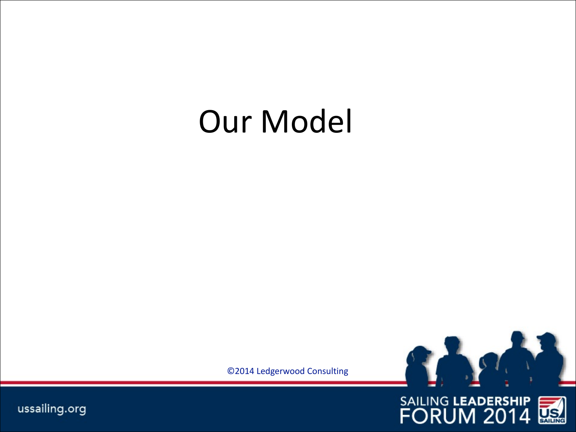### **Our Model**

©2014 Ledgerwood Consulting



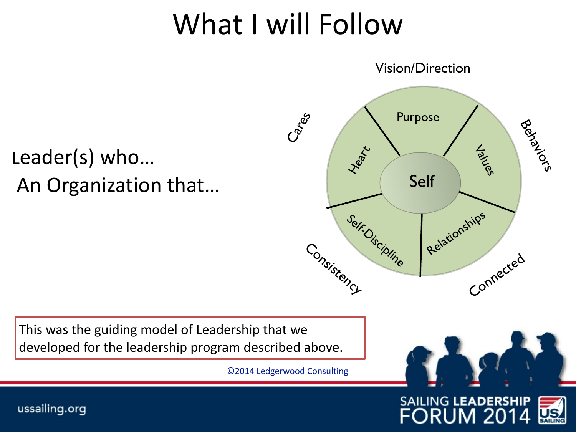### What I will Follow

Leader(s) who... An Organization that...



This was the guiding model of Leadership that we developed for the leadership program described above.

©2014 Ledgerwood Consulting



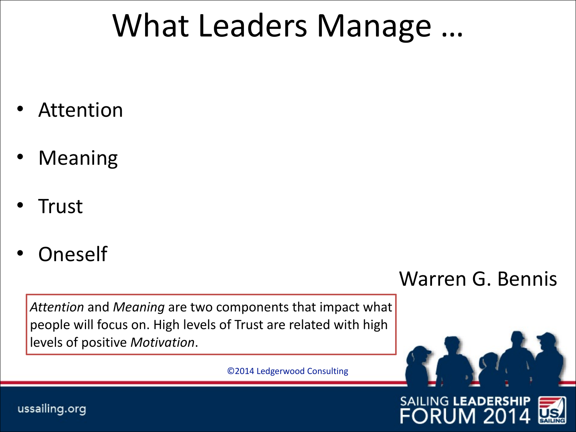### What Leaders Manage ...

- **Attention**
- **Meaning**
- **Trust**
- **Oneself**

Warren G. Bennis

Attention and *Meaning* are two components that impact what people will focus on. High levels of Trust are related with high levels of positive *Motivation*.

©2014 Ledgerwood Consulting



#### **SAILING LEADERSHIP FORUM 201**

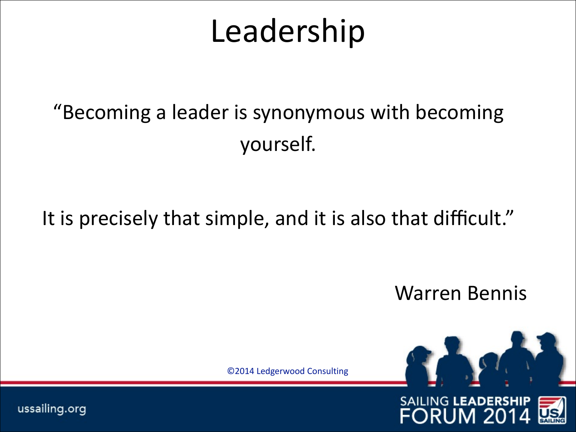### Leadership

### "Becoming a leader is synonymous with becoming yourself.

#### It is precisely that simple, and it is also that difficult."

Warren Bennis

©2014 Ledgerwood Consulting



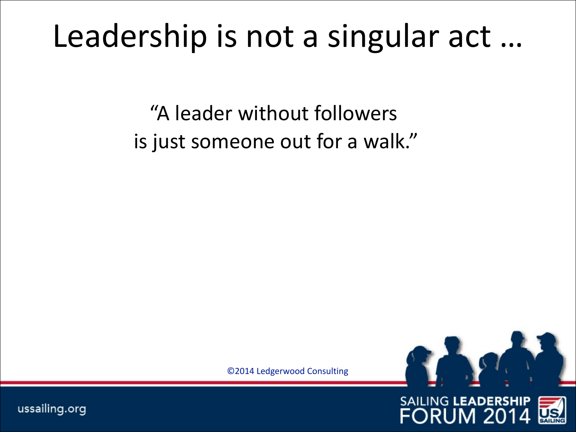### Leadership is not a singular act ...

"A leader without followers is just someone out for a walk."

©2014 Ledgerwood Consulting



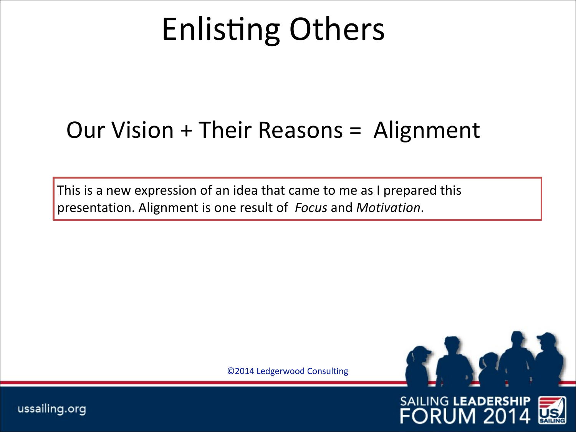# **Enlisting Others**

### Our Vision + Their Reasons = Alignment

This is a new expression of an idea that came to me as I prepared this presentation. Alignment is one result of *Focus* and *Motivation*.

©2014 Ledgerwood Consulting



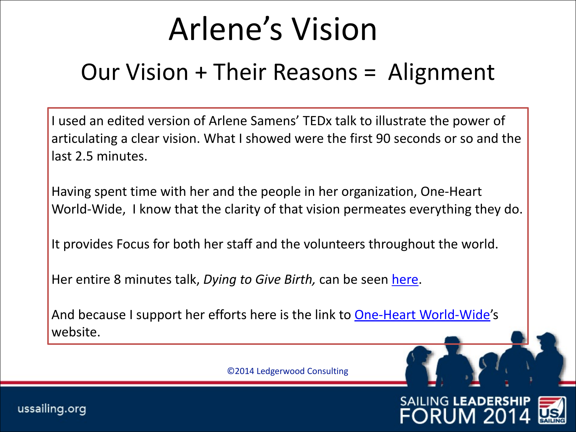### Arlene's Vision

#### Our Vision  $+$  Their Reasons  $=$  Alignment

I used an edited version of Arlene Samens' TEDx talk to illustrate the power of articulating a clear vision. What I showed were the first 90 seconds or so and the last 2.5 minutes.

Having spent time with her and the people in her organization, One-Heart World-Wide, I know that the clarity of that vision permeates everything they do.

It provides Focus for both her staff and the volunteers throughout the world.

Her entire 8 minutes talk, *Dying to Give Birth*, can be seen here.

And because I support her efforts here is the link to One-Heart World-Wide's website.

©2014 Ledgerwood Consulting

**SAILING LEADERSHIP** 

ORUM 20

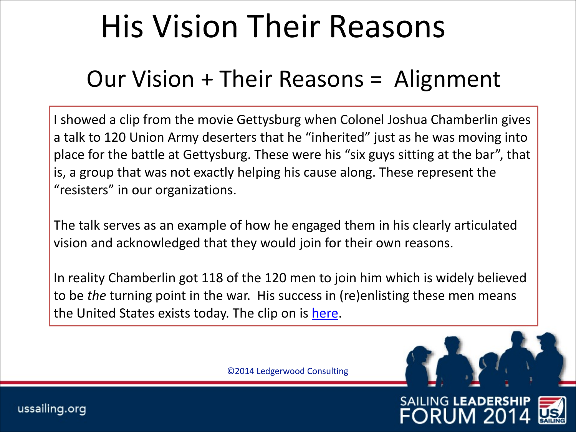### His Vision Their Reasons

### Our Vision  $+$  Their Reasons  $=$  Alignment

I showed a clip from the movie Gettysburg when Colonel Joshua Chamberlin gives a talk to 120 Union Army deserters that he "inherited" just as he was moving into place for the battle at Gettysburg. These were his "six guys sitting at the bar", that is, a group that was not exactly helping his cause along. These represent the "resisters" in our organizations.

The talk serves as an example of how he engaged them in his clearly articulated vision and acknowledged that they would join for their own reasons.

In reality Chamberlin got 118 of the 120 men to join him which is widely believed to be *the* turning point in the war. His success in (re)enlisting these men means the United States exists today. The clip on is here.

©2014 Ledgerwood Consulting

**SAILING LEADERSH** 

ORUM 20

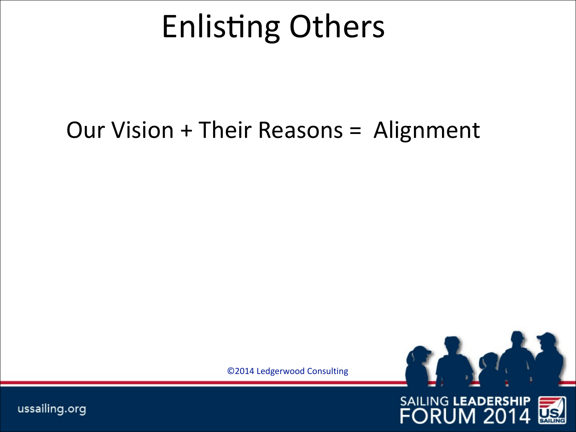### **Enlisting Others**

### Our Vision + Their Reasons = Alignment

©2014 Ledgerwood Consulting



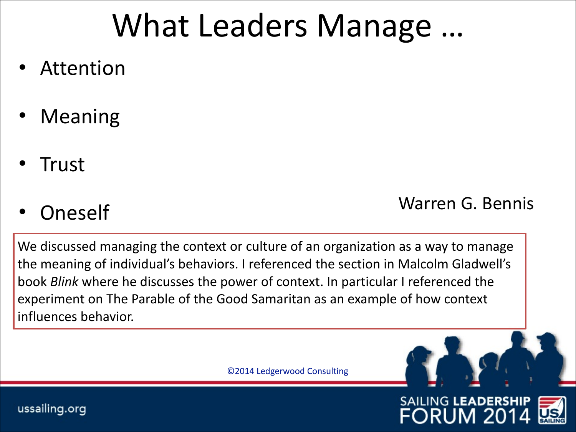### What Leaders Manage ...

- **Attention**
- **Meaning**
- Trust

#### example and the United States of the United States of the United States of the United States of the United States of the United States of the United States of the United States of the United States of the United States of

We discussed managing the context or culture of an organization as a way to manage the meaning of individual's behaviors. I referenced the section in Malcolm Gladwell's book *Blink* where he discusses the power of context. In particular I referenced the experiment on The Parable of the Good Samaritan as an example of how context influences behavior.

©2014 Ledgerwood Consulting



**SAILING LEADERSHIP** 

FORl

JM 20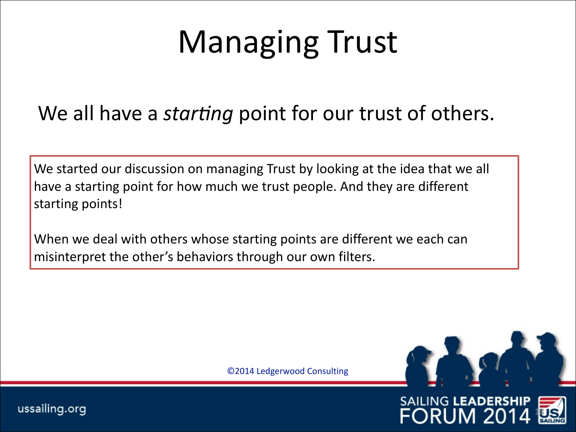### Managing Trust

#### We all have a *starting* point for our trust of others.

We started our discussion on managing Trust by looking at the idea that we all have a starting point for how much we trust people. And they are different starting points!

When we deal with others whose starting points are different we each can misinterpret the other's behaviors through our own filters.

©2014 Ledgerwood Consulting



JM 2

18

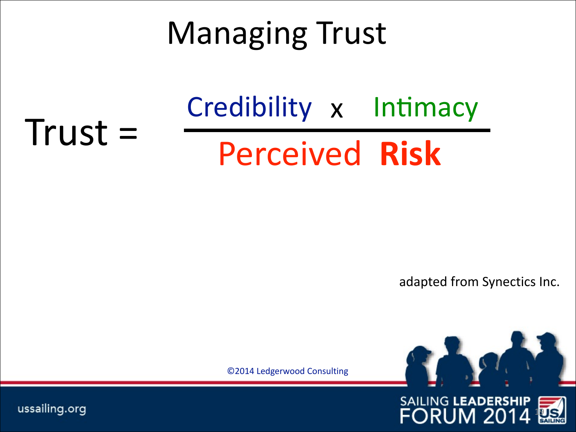### **Managing Trust**

### **Perceived Risk** Credibility x Intimacy

adapted from Synectics Inc.

©2014 Ledgerwood Consulting





ussailing.org

 $Trust =$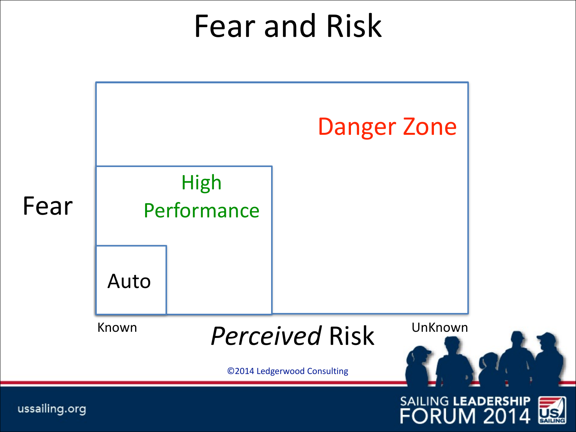### Fear and Risk

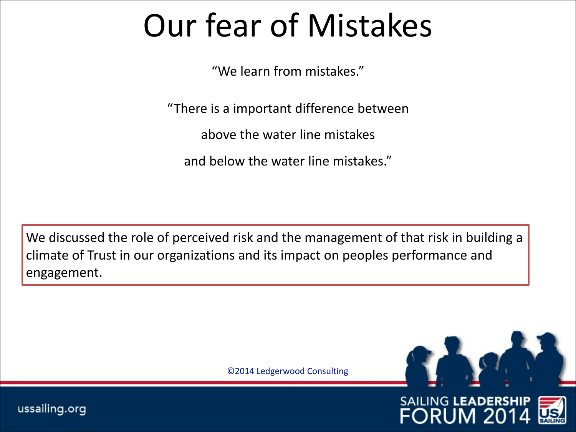### Our fear of Mistakes

"We learn from mistakes."

"There is a important difference between

above the water line mistakes

and below the water line mistakes."

We discussed the role of perceived risk and the management of that risk in building a climate of Trust in our organizations and its impact on peoples performance and engagement.

©2014 Ledgerwood Consulting



JM 20

ORl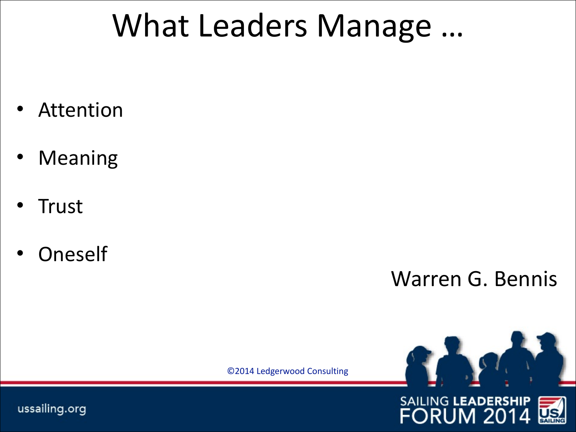### What Leaders Manage ...

- Attention
- **Meaning**
- **Trust**
- **Oneself**

Warren G. Bennis

©2014 Ledgerwood Consulting



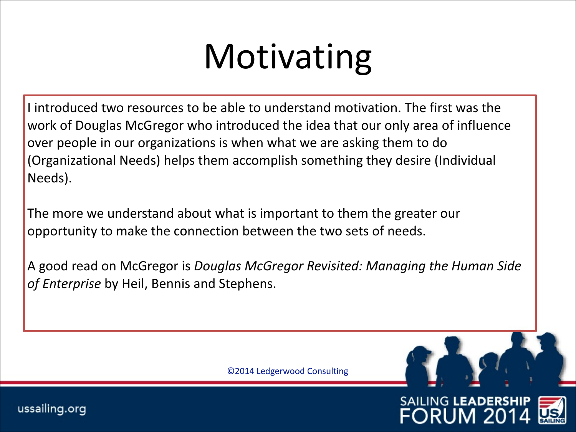# **Motivating**

I introduced two resources to be able to understand motivation. The first was the work of Douglas McGregor who introduced the idea that our only area of influence over people in our organizations is when what we are asking them to do (Organizational Needs) helps them accomplish something they desire (Individual Needs). 

The more we understand about what is important to them the greater our opportunity to make the connection between the two sets of needs.

A good read on McGregor is *Douglas McGregor Revisited: Managing the Human Side* of *Enterprise* by Heil, Bennis and Stephens.

©2014 Ledgerwood Consulting

**SAILING LEADERSH** 

**FORUM 2**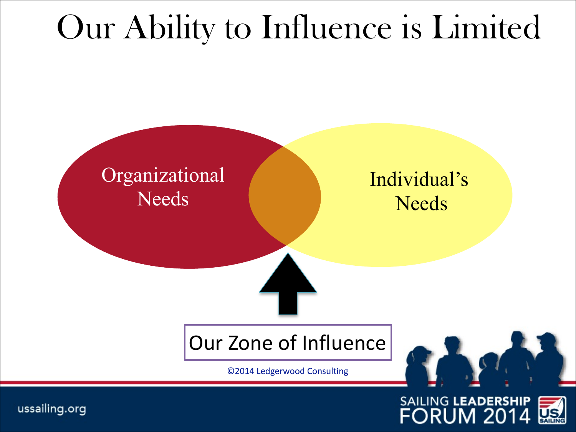### Our Ability to Influence is Limited



FORUM 2014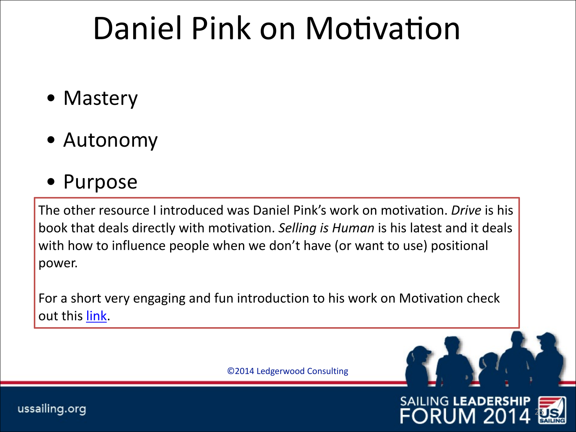### Daniel Pink on Motivation

- Mastery
- Autonomy
- Purpose

The other resource I introduced was Daniel Pink's work on motivation. *Drive* is his book that deals directly with motivation. Selling is Human is his latest and it deals with how to influence people when we don't have (or want to use) positional power. 

For a short very engaging and fun introduction to his work on Motivation check out this link.

©2014 Ledgerwood Consulting

ussailing.org



JM 20

ORl

25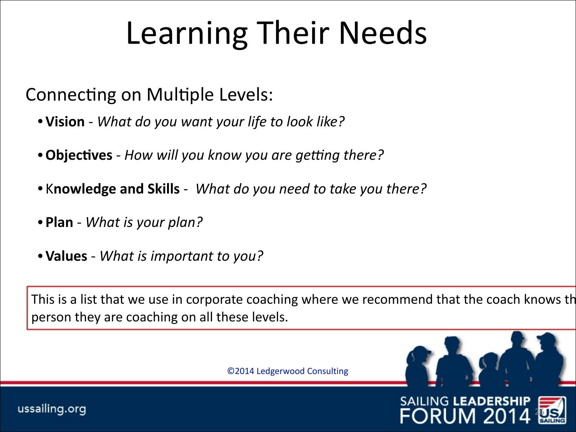## Learning Their Needs

Connecting on Multiple Levels:

- •**Vision** - *What do you want your life to look like?*
- **Objectives** How will you know you are getting there?
- Knowledge and Skills What do you need to take you there?
- Plan What is your plan?
- **Values** *What is important to you?*

This is a list that we use in corporate coaching where we recommend that the coach knows the person they are coaching on all these levels.

26

**SAILING LEADERSH** 

ORl

JM 2

©2014 Ledgerwood Consulting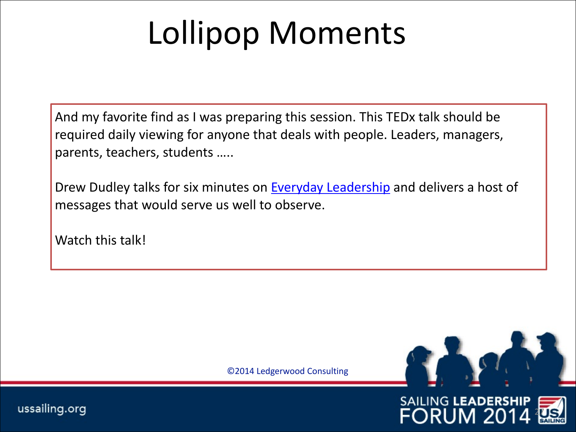## Lollipop Moments

And my favorite find as I was preparing this session. This TEDx talk should be required daily viewing for anyone that deals with people. Leaders, managers, parents, teachers, students .....

Drew Dudley talks for six minutes on Everyday Leadership and delivers a host of messages that would serve us well to observe.

Watch this talk!

©2014 Ledgerwood Consulting



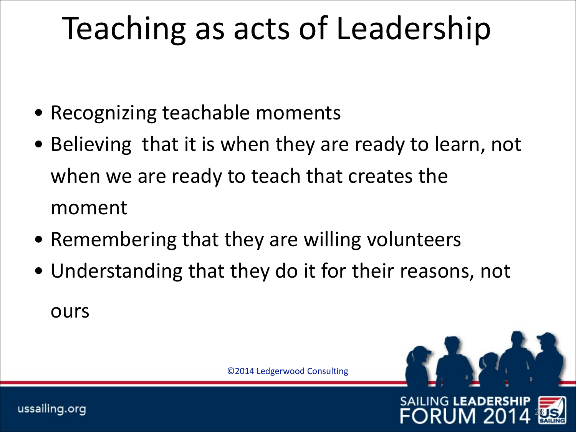## Teaching as acts of Leadership

- Recognizing teachable moments
- Believing that it is when they are ready to learn, not when we are ready to teach that creates the moment
- Remembering that they are willing volunteers
- Understanding that they do it for their reasons, not ours

©2014 Ledgerwood Consulting

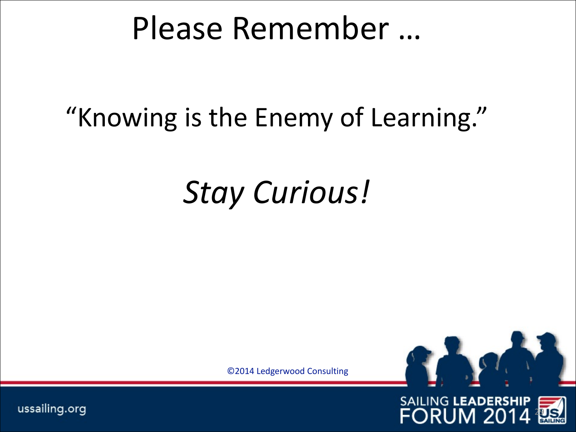### Please Remember ...

### "Knowing is the Enemy of Learning."

### *Stay Curious!*

©2014 Ledgerwood Consulting